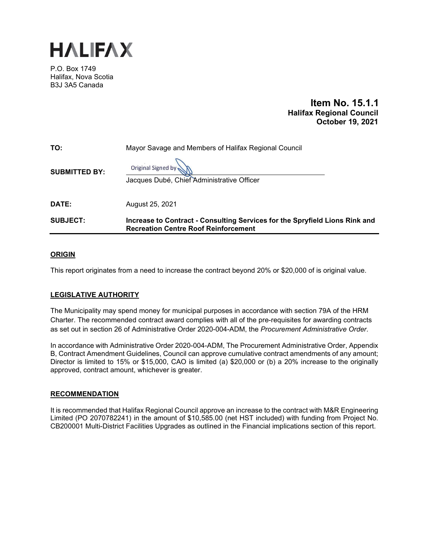

P.O. Box 1749 Halifax, Nova Scotia B3J 3A5 Canada

# **Item No. 15.1.1 Halifax Regional Council October 19, 2021**

| TO:                  | Mayor Savage and Members of Halifax Regional Council                                                                       |  |
|----------------------|----------------------------------------------------------------------------------------------------------------------------|--|
| <b>SUBMITTED BY:</b> | Original Signed by<br>Jacques Dubé, Chief Administrative Officer                                                           |  |
| DATE:                | August 25, 2021                                                                                                            |  |
| <b>SUBJECT:</b>      | Increase to Contract - Consulting Services for the Spryfield Lions Rink and<br><b>Recreation Centre Roof Reinforcement</b> |  |

## **ORIGIN**

This report originates from a need to increase the contract beyond 20% or \$20,000 of is original value.

# **LEGISLATIVE AUTHORITY**

The Municipality may spend money for municipal purposes in accordance with section 79A of the HRM Charter. The recommended contract award complies with all of the pre-requisites for awarding contracts as set out in section 26 of Administrative Order 2020-004-ADM, the *Procurement Administrative Order*.

In accordance with Administrative Order 2020-004-ADM, The Procurement Administrative Order, Appendix B, Contract Amendment Guidelines, Council can approve cumulative contract amendments of any amount; Director is limited to 15% or \$15,000, CAO is limited (a) \$20,000 or (b) a 20% increase to the originally approved, contract amount, whichever is greater.

### **RECOMMENDATION**

It is recommended that Halifax Regional Council approve an increase to the contract with M&R Engineering Limited (PO 2070782241) in the amount of \$10,585.00 (net HST included) with funding from Project No. CB200001 Multi-District Facilities Upgrades as outlined in the Financial implications section of this report.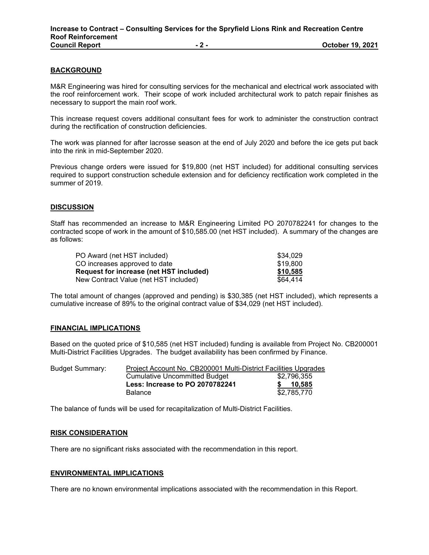### **BACKGROUND**

M&R Engineering was hired for consulting services for the mechanical and electrical work associated with the roof reinforcement work. Their scope of work included architectural work to patch repair finishes as necessary to support the main roof work.

This increase request covers additional consultant fees for work to administer the construction contract during the rectification of construction deficiencies.

The work was planned for after lacrosse season at the end of July 2020 and before the ice gets put back into the rink in mid-September 2020.

Previous change orders were issued for \$19,800 (net HST included) for additional consulting services required to support construction schedule extension and for deficiency rectification work completed in the summer of 2019.

#### **DISCUSSION**

Staff has recommended an increase to M&R Engineering Limited PO 2070782241 for changes to the contracted scope of work in the amount of \$10,585.00 (net HST included). A summary of the changes are as follows:

| PO Award (net HST included)             | \$34.029 |
|-----------------------------------------|----------|
| CO increases approved to date           | \$19,800 |
| Request for increase (net HST included) | \$10,585 |
| New Contract Value (net HST included)   | \$64.414 |

The total amount of changes (approved and pending) is \$30,385 (net HST included), which represents a cumulative increase of 89% to the original contract value of \$34,029 (net HST included).

### **FINANCIAL IMPLICATIONS**

Based on the quoted price of \$10,585 (net HST included) funding is available from Project No. CB200001 Multi-District Facilities Upgrades. The budget availability has been confirmed by Finance.

| <b>Budget Summary:</b> | Project Account No. CB200001 Multi-District Facilities Upgrades |             |
|------------------------|-----------------------------------------------------------------|-------------|
|                        | <b>Cumulative Uncommitted Budget</b>                            | \$2.796.355 |
|                        | Less: Increase to PO 2070782241                                 | 10.585      |
|                        | <b>Balance</b>                                                  | \$2.785.770 |

The balance of funds will be used for recapitalization of Multi-District Facilities.

#### **RISK CONSIDERATION**

There are no significant risks associated with the recommendation in this report.

### **ENVIRONMENTAL IMPLICATIONS**

There are no known environmental implications associated with the recommendation in this Report.